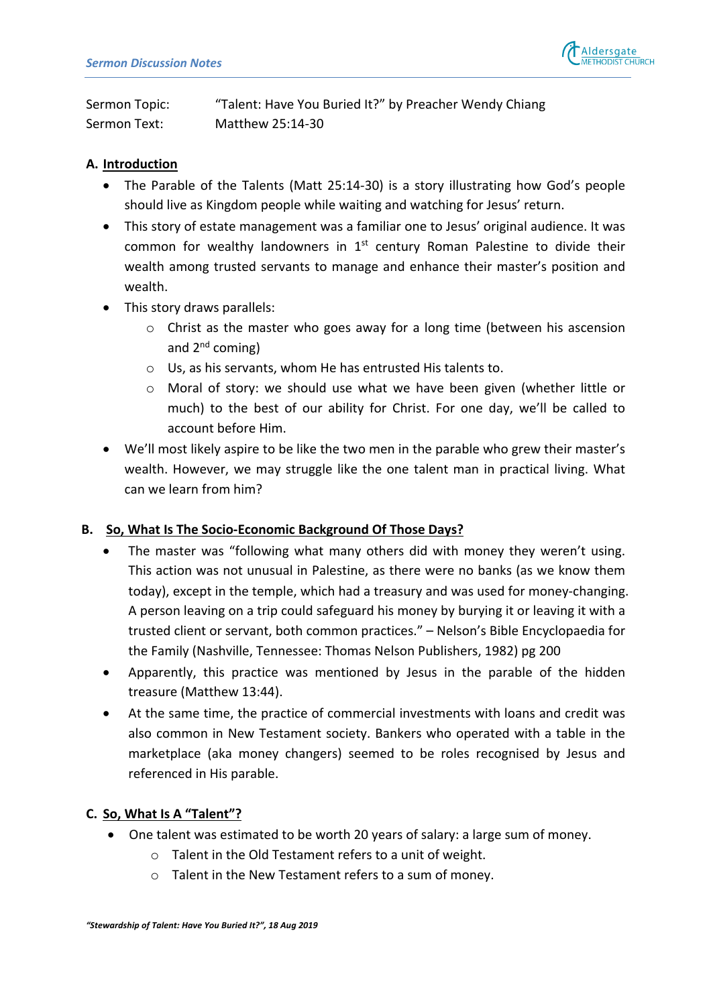

Sermon Topic: "Talent: Have You Buried It?" by Preacher Wendy Chiang Sermon Text: Matthew 25:14-30

### **A. Introduction**

- The Parable of the Talents (Matt 25:14-30) is a story illustrating how God's people should live as Kingdom people while waiting and watching for Jesus' return.
- This story of estate management was a familiar one to Jesus' original audience. It was common for wealthy landowners in  $1<sup>st</sup>$  century Roman Palestine to divide their wealth among trusted servants to manage and enhance their master's position and wealth.
- This story draws parallels:
	- $\circ$  Christ as the master who goes away for a long time (between his ascension and  $2^{nd}$  coming)
	- o Us, as his servants, whom He has entrusted His talents to.
	- $\circ$  Moral of story: we should use what we have been given (whether little or much) to the best of our ability for Christ. For one day, we'll be called to account before Him.
- We'll most likely aspire to be like the two men in the parable who grew their master's wealth. However, we may struggle like the one talent man in practical living. What can we learn from him?

#### **B. So, What Is The Socio-Economic Background Of Those Days?**

- The master was "following what many others did with money they weren't using. This action was not unusual in Palestine, as there were no banks (as we know them today), except in the temple, which had a treasury and was used for money-changing. A person leaving on a trip could safeguard his money by burying it or leaving it with a trusted client or servant, both common practices." – Nelson's Bible Encyclopaedia for the Family (Nashville, Tennessee: Thomas Nelson Publishers, 1982) pg 200
- Apparently, this practice was mentioned by Jesus in the parable of the hidden treasure (Matthew 13:44).
- At the same time, the practice of commercial investments with loans and credit was also common in New Testament society. Bankers who operated with a table in the marketplace (aka money changers) seemed to be roles recognised by Jesus and referenced in His parable.

## **C. So, What Is A "Talent"?**

- One talent was estimated to be worth 20 years of salary: a large sum of money.
	- o Talent in the Old Testament refers to a unit of weight.
	- o Talent in the New Testament refers to a sum of money.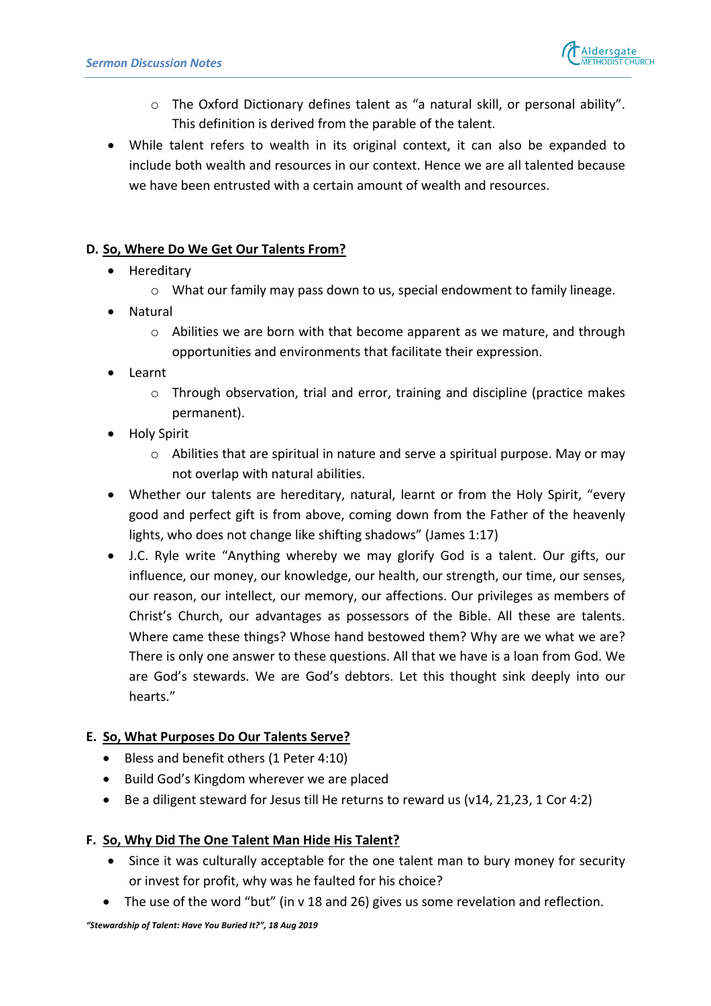

- o The Oxford Dictionary defines talent as "a natural skill, or personal ability". This definition is derived from the parable of the talent.
- While talent refers to wealth in its original context, it can also be expanded to include both wealth and resources in our context. Hence we are all talented because we have been entrusted with a certain amount of wealth and resources.

# **D. So, Where Do We Get Our Talents From?**

- Hereditary
	- $\circ$  What our family may pass down to us, special endowment to family lineage.
- Natural
	- $\circ$  Abilities we are born with that become apparent as we mature, and through opportunities and environments that facilitate their expression.
- Learnt
	- $\circ$  Through observation, trial and error, training and discipline (practice makes permanent).
- Holy Spirit
	- o Abilities that are spiritual in nature and serve a spiritual purpose. May or may not overlap with natural abilities.
- Whether our talents are hereditary, natural, learnt or from the Holy Spirit, "every good and perfect gift is from above, coming down from the Father of the heavenly lights, who does not change like shifting shadows" (James 1:17)
- J.C. Ryle write "Anything whereby we may glorify God is a talent. Our gifts, our influence, our money, our knowledge, our health, our strength, our time, our senses, our reason, our intellect, our memory, our affections. Our privileges as members of Christ's Church, our advantages as possessors of the Bible. All these are talents. Where came these things? Whose hand bestowed them? Why are we what we are? There is only one answer to these questions. All that we have is a loan from God. We are God's stewards. We are God's debtors. Let this thought sink deeply into our hearts."

## **E. So, What Purposes Do Our Talents Serve?**

- Bless and benefit others (1 Peter 4:10)
- Build God's Kingdom wherever we are placed
- Be a diligent steward for Jesus till He returns to reward us (v14, 21,23, 1 Cor 4:2)

## **F. So, Why Did The One Talent Man Hide His Talent?**

- Since it was culturally acceptable for the one talent man to bury money for security or invest for profit, why was he faulted for his choice?
- The use of the word "but" (in v 18 and 26) gives us some revelation and reflection.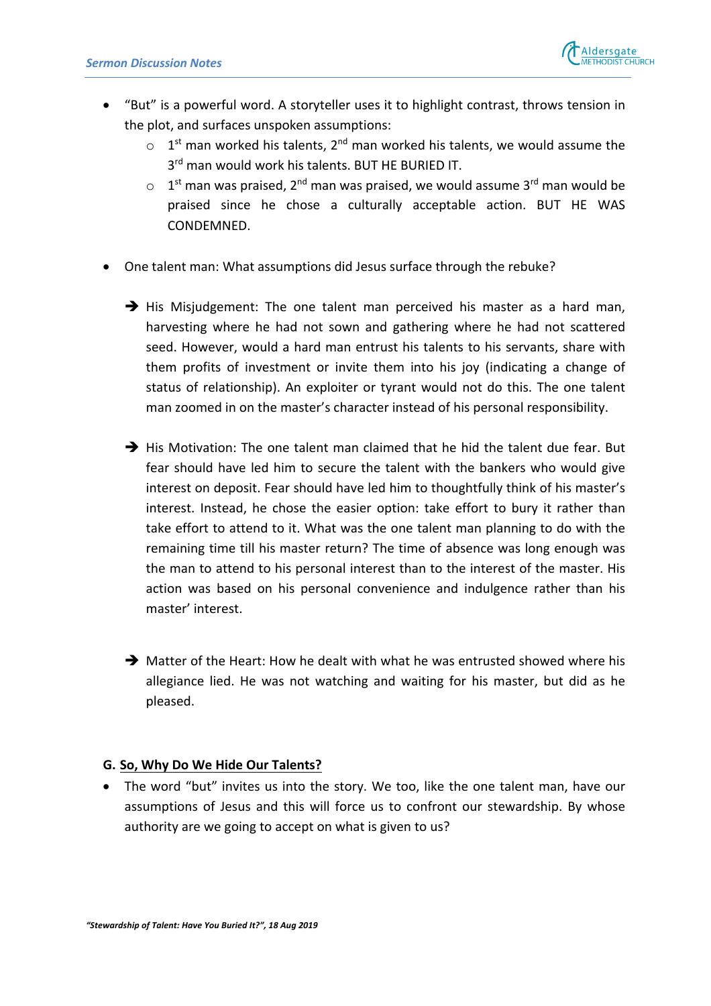

- "But" is a powerful word. A storyteller uses it to highlight contrast, throws tension in the plot, and surfaces unspoken assumptions:
	- $\circ$  1<sup>st</sup> man worked his talents, 2<sup>nd</sup> man worked his talents, we would assume the  $3<sup>rd</sup>$  man would work his talents. BUT HE BURIED IT.
	- $\circ$  1<sup>st</sup> man was praised, 2<sup>nd</sup> man was praised, we would assume 3<sup>rd</sup> man would be praised since he chose a culturally acceptable action. BUT HE WAS CONDEMNED.
- One talent man: What assumptions did Jesus surface through the rebuke?
	- $\rightarrow$  His Misjudgement: The one talent man perceived his master as a hard man, harvesting where he had not sown and gathering where he had not scattered seed. However, would a hard man entrust his talents to his servants, share with them profits of investment or invite them into his joy (indicating a change of status of relationship). An exploiter or tyrant would not do this. The one talent man zoomed in on the master's character instead of his personal responsibility.
	- $\rightarrow$  His Motivation: The one talent man claimed that he hid the talent due fear. But fear should have led him to secure the talent with the bankers who would give interest on deposit. Fear should have led him to thoughtfully think of his master's interest. Instead, he chose the easier option: take effort to bury it rather than take effort to attend to it. What was the one talent man planning to do with the remaining time till his master return? The time of absence was long enough was the man to attend to his personal interest than to the interest of the master. His action was based on his personal convenience and indulgence rather than his master' interest.
	- $\rightarrow$  Matter of the Heart: How he dealt with what he was entrusted showed where his allegiance lied. He was not watching and waiting for his master, but did as he pleased.

#### **G. So, Why Do We Hide Our Talents?**

• The word "but" invites us into the story. We too, like the one talent man, have our assumptions of Jesus and this will force us to confront our stewardship. By whose authority are we going to accept on what is given to us?